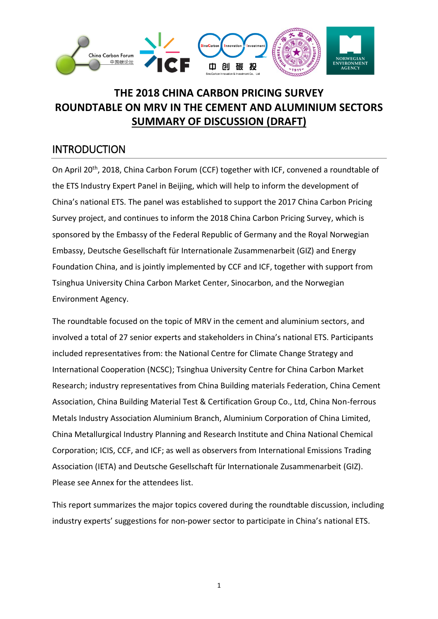

# **THE 2018 CHINA CARBON PRICING SURVEY ROUNDTABLE ON MRV IN THE CEMENT AND ALUMINIUM SECTORS SUMMARY OF DISCUSSION (DRAFT)**

#### INTRODUCTION

On April 20<sup>th</sup>, 2018, China Carbon Forum (CCF) together with ICF, convened a roundtable of the ETS Industry Expert Panel in Beijing, which will help to inform the development of China's national ETS. The panel was established to support the 2017 China Carbon Pricing Survey project, and continues to inform the 2018 China Carbon Pricing Survey, which is sponsored by the Embassy of the Federal Republic of Germany and the Royal Norwegian Embassy, Deutsche Gesellschaft für Internationale Zusammenarbeit (GIZ) and Energy Foundation China, and is jointly implemented by CCF and ICF, together with support from Tsinghua University China Carbon Market Center, Sinocarbon, and the Norwegian Environment Agency.

The roundtable focused on the topic of MRV in the cement and aluminium sectors, and involved a total of 27 senior experts and stakeholders in China's national ETS. Participants included representatives from: the National Centre for Climate Change Strategy and International Cooperation (NCSC); Tsinghua University Centre for China Carbon Market Research; industry representatives from China Building materials Federation, China Cement Association, China Building Material Test & Certification Group Co., Ltd, China Non-ferrous Metals Industry Association Aluminium Branch, Aluminium Corporation of China Limited, China Metallurgical Industry Planning and Research Institute and China National Chemical Corporation; ICIS, CCF, and ICF; as well as observers from International Emissions Trading Association (IETA) and Deutsche Gesellschaft für Internationale Zusammenarbeit (GIZ). Please see Annex for the attendees list.

This report summarizes the major topics covered during the roundtable discussion, including industry experts' suggestions for non-power sector to participate in China's national ETS.

1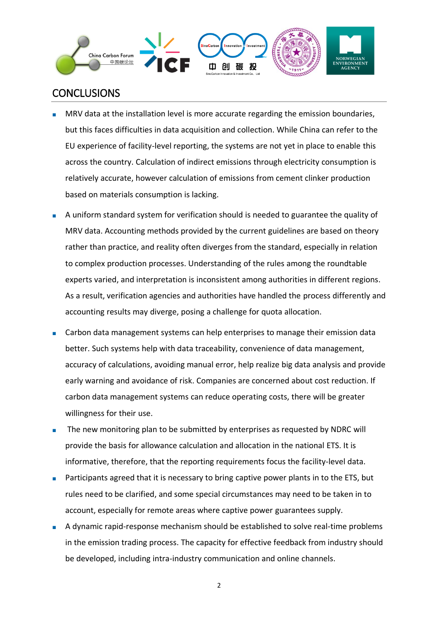

## **CONCLUSIONS**

- MRV data at the installation level is more accurate regarding the emission boundaries, but this faces difficulties in data acquisition and collection. While China can refer to the EU experience of facility-level reporting, the systems are not yet in place to enable this across the country. Calculation of indirect emissions through electricity consumption is relatively accurate, however calculation of emissions from cement clinker production based on materials consumption is lacking.
- A uniform standard system for verification should is needed to guarantee the quality of MRV data. Accounting methods provided by the current guidelines are based on theory rather than practice, and reality often diverges from the standard, especially in relation to complex production processes. Understanding of the rules among the roundtable experts varied, and interpretation is inconsistent among authorities in different regions. As a result, verification agencies and authorities have handled the process differently and accounting results may diverge, posing a challenge for quota allocation.
- Carbon data management systems can help enterprises to manage their emission data better. Such systems help with data traceability, convenience of data management, accuracy of calculations, avoiding manual error, help realize big data analysis and provide early warning and avoidance of risk. Companies are concerned about cost reduction. If carbon data management systems can reduce operating costs, there will be greater willingness for their use.
- The new monitoring plan to be submitted by enterprises as requested by NDRC will provide the basis for allowance calculation and allocation in the national ETS. It is informative, therefore, that the reporting requirements focus the facility-level data.
- Participants agreed that it is necessary to bring captive power plants in to the ETS, but rules need to be clarified, and some special circumstances may need to be taken in to account, especially for remote areas where captive power guarantees supply.
- A dynamic rapid-response mechanism should be established to solve real-time problems in the emission trading process. The capacity for effective feedback from industry should be developed, including intra-industry communication and online channels.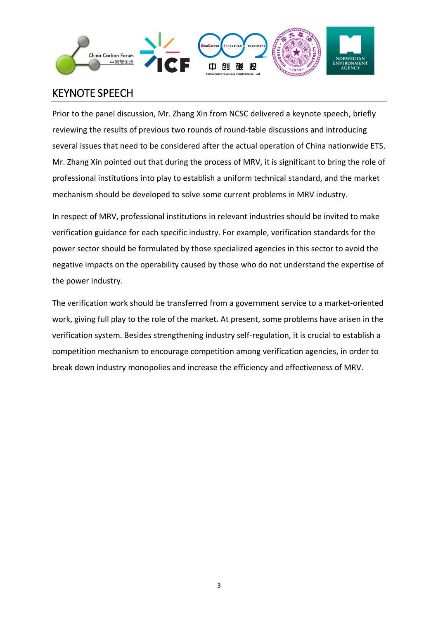

# KEYNOTE SPEECH

Prior to the panel discussion, Mr. Zhang Xin from NCSC delivered a keynote speech, briefly reviewing the results of previous two rounds of round-table discussions and introducing several issues that need to be considered after the actual operation of China nationwide ETS. Mr. Zhang Xin pointed out that during the process of MRV, it is significant to bring the role of professional institutions into play to establish a uniform technical standard, and the market mechanism should be developed to solve some current problems in MRV industry.

In respect of MRV, professional institutions in relevant industries should be invited to make verification guidance for each specific industry. For example, verification standards for the power sector should be formulated by those specialized agencies in this sector to avoid the negative impacts on the operability caused by those who do not understand the expertise of the power industry.

The verification work should be transferred from a government service to a market-oriented work, giving full play to the role of the market. At present, some problems have arisen in the verification system. Besides strengthening industry self-regulation, it is crucial to establish a competition mechanism to encourage competition among verification agencies, in order to break down industry monopolies and increase the efficiency and effectiveness of MRV.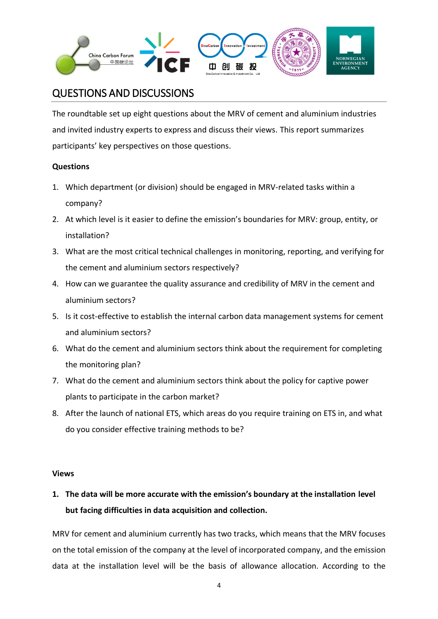

## QUESTIONS AND DISCUSSIONS

The roundtable set up eight questions about the MRV of cement and aluminium industries and invited industry experts to express and discuss their views. This report summarizes participants' key perspectives on those questions.

#### **Questions**

- 1. Which department (or division) should be engaged in MRV-related tasks within a company?
- 2. At which level is it easier to define the emission's boundaries for MRV: group, entity, or installation?
- 3. What are the most critical technical challenges in monitoring, reporting, and verifying for the cement and aluminium sectors respectively?
- 4. How can we guarantee the quality assurance and credibility of MRV in the cement and aluminium sectors?
- 5. Is it cost-effective to establish the internal carbon data management systems for cement and aluminium sectors?
- 6. What do the cement and aluminium sectors think about the requirement for completing the monitoring plan?
- 7. What do the cement and aluminium sectors think about the policy for captive power plants to participate in the carbon market?
- 8. After the launch of national ETS, which areas do you require training on ETS in, and what do you consider effective training methods to be?

#### **Views**

## **1. The data will be more accurate with the emission's boundary at the installation level but facing difficulties in data acquisition and collection.**

MRV for cement and aluminium currently has two tracks, which means that the MRV focuses on the total emission of the company at the level of incorporated company, and the emission data at the installation level will be the basis of allowance allocation. According to the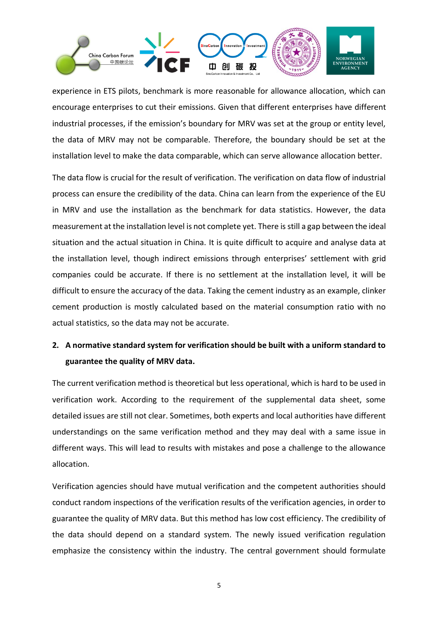

experience in ETS pilots, benchmark is more reasonable for allowance allocation, which can encourage enterprises to cut their emissions. Given that different enterprises have different industrial processes, if the emission's boundary for MRV was set at the group or entity level, the data of MRV may not be comparable. Therefore, the boundary should be set at the installation level to make the data comparable, which can serve allowance allocation better.

The data flow is crucial for the result of verification. The verification on data flow of industrial process can ensure the credibility of the data. China can learn from the experience of the EU in MRV and use the installation as the benchmark for data statistics. However, the data measurement at the installation level is not complete yet. There is still a gap between the ideal situation and the actual situation in China. It is quite difficult to acquire and analyse data at the installation level, though indirect emissions through enterprises' settlement with grid companies could be accurate. If there is no settlement at the installation level, it will be difficult to ensure the accuracy of the data. Taking the cement industry as an example, clinker cement production is mostly calculated based on the material consumption ratio with no actual statistics, so the data may not be accurate.

#### **2. A normative standard system for verification should be built with a uniform standard to guarantee the quality of MRV data.**

The current verification method is theoretical but less operational, which is hard to be used in verification work. According to the requirement of the supplemental data sheet, some detailed issues are still not clear. Sometimes, both experts and local authorities have different understandings on the same verification method and they may deal with a same issue in different ways. This will lead to results with mistakes and pose a challenge to the allowance allocation.

Verification agencies should have mutual verification and the competent authorities should conduct random inspections of the verification results of the verification agencies, in order to guarantee the quality of MRV data. But this method has low cost efficiency. The credibility of the data should depend on a standard system. The newly issued verification regulation emphasize the consistency within the industry. The central government should formulate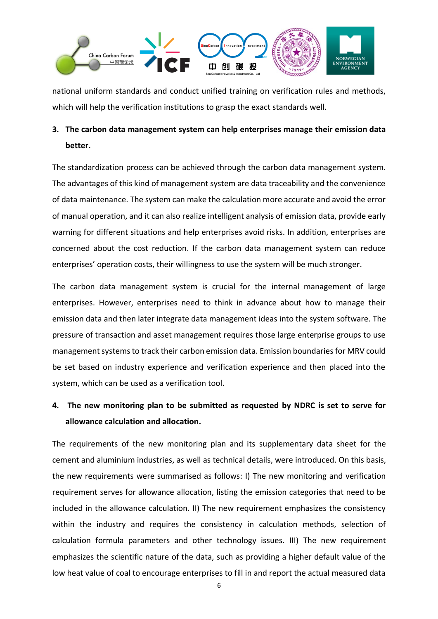

national uniform standards and conduct unified training on verification rules and methods, which will help the verification institutions to grasp the exact standards well.

## **3. The carbon data management system can help enterprises manage their emission data better.**

The standardization process can be achieved through the carbon data management system. The advantages of this kind of management system are data traceability and the convenience of data maintenance. The system can make the calculation more accurate and avoid the error of manual operation, and it can also realize intelligent analysis of emission data, provide early warning for different situations and help enterprises avoid risks. In addition, enterprises are concerned about the cost reduction. If the carbon data management system can reduce enterprises' operation costs, their willingness to use the system will be much stronger.

The carbon data management system is crucial for the internal management of large enterprises. However, enterprises need to think in advance about how to manage their emission data and then later integrate data management ideas into the system software. The pressure of transaction and asset management requires those large enterprise groups to use management systems to track their carbon emission data. Emission boundaries for MRV could be set based on industry experience and verification experience and then placed into the system, which can be used as a verification tool.

## **4. The new monitoring plan to be submitted as requested by NDRC is set to serve for allowance calculation and allocation.**

The requirements of the new monitoring plan and its supplementary data sheet for the cement and aluminium industries, as well as technical details, were introduced. On this basis, the new requirements were summarised as follows: I) The new monitoring and verification requirement serves for allowance allocation, listing the emission categories that need to be included in the allowance calculation. II) The new requirement emphasizes the consistency within the industry and requires the consistency in calculation methods, selection of calculation formula parameters and other technology issues. III) The new requirement emphasizes the scientific nature of the data, such as providing a higher default value of the low heat value of coal to encourage enterprises to fill in and report the actual measured data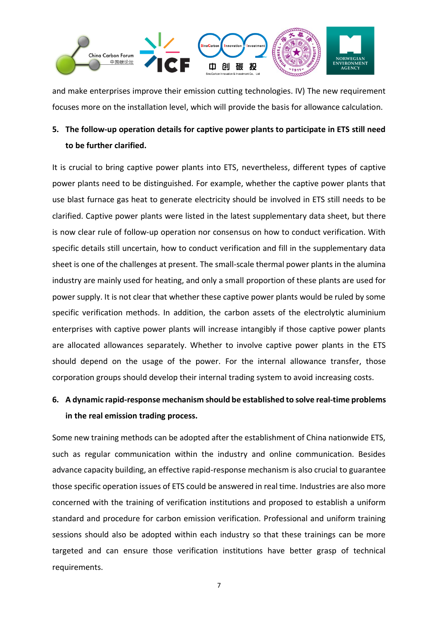

and make enterprises improve their emission cutting technologies. IV) The new requirement focuses more on the installation level, which will provide the basis for allowance calculation.

### **5. The follow-up operation details for captive power plants to participate in ETS still need to be further clarified.**

It is crucial to bring captive power plants into ETS, nevertheless, different types of captive power plants need to be distinguished. For example, whether the captive power plants that use blast furnace gas heat to generate electricity should be involved in ETS still needs to be clarified. Captive power plants were listed in the latest supplementary data sheet, but there is now clear rule of follow-up operation nor consensus on how to conduct verification. With specific details still uncertain, how to conduct verification and fill in the supplementary data sheet is one of the challenges at present. The small-scale thermal power plants in the alumina industry are mainly used for heating, and only a small proportion of these plants are used for power supply. It is not clear that whether these captive power plants would be ruled by some specific verification methods. In addition, the carbon assets of the electrolytic aluminium enterprises with captive power plants will increase intangibly if those captive power plants are allocated allowances separately. Whether to involve captive power plants in the ETS should depend on the usage of the power. For the internal allowance transfer, those corporation groups should develop their internal trading system to avoid increasing costs.

## **6. A dynamic rapid-response mechanism should be established to solve real-time problems in the real emission trading process.**

Some new training methods can be adopted after the establishment of China nationwide ETS, such as regular communication within the industry and online communication. Besides advance capacity building, an effective rapid-response mechanism is also crucial to guarantee those specific operation issues of ETS could be answered in real time. Industries are also more concerned with the training of verification institutions and proposed to establish a uniform standard and procedure for carbon emission verification. Professional and uniform training sessions should also be adopted within each industry so that these trainings can be more targeted and can ensure those verification institutions have better grasp of technical requirements.